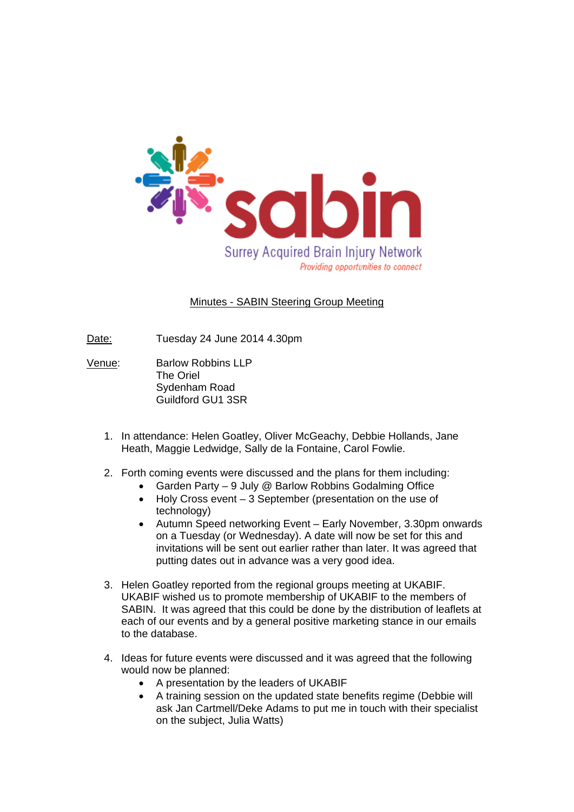

## Minutes - SABIN Steering Group Meeting

- Date: Tuesday 24 June 2014 4.30pm
- Venue: Barlow Robbins LLP The Oriel Sydenham Road Guildford GU1 3SR
	- 1. In attendance: Helen Goatley, Oliver McGeachy, Debbie Hollands, Jane Heath, Maggie Ledwidge, Sally de la Fontaine, Carol Fowlie.
	- 2. Forth coming events were discussed and the plans for them including:
		- Garden Party 9 July @ Barlow Robbins Godalming Office
		- Holy Cross event 3 September (presentation on the use of technology)
		- Autumn Speed networking Event Early November, 3.30pm onwards on a Tuesday (or Wednesday). A date will now be set for this and invitations will be sent out earlier rather than later. It was agreed that putting dates out in advance was a very good idea.
	- 3. Helen Goatley reported from the regional groups meeting at UKABIF. UKABIF wished us to promote membership of UKABIF to the members of SABIN. It was agreed that this could be done by the distribution of leaflets at each of our events and by a general positive marketing stance in our emails to the database.
	- 4. Ideas for future events were discussed and it was agreed that the following would now be planned:
		- A presentation by the leaders of UKABIF
		- A training session on the updated state benefits regime (Debbie will ask Jan Cartmell/Deke Adams to put me in touch with their specialist on the subject, Julia Watts)